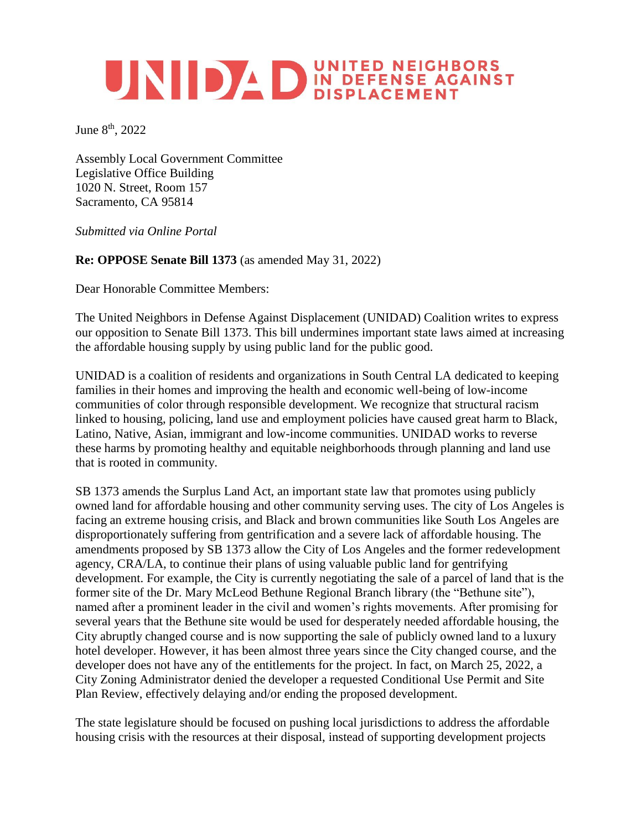## **EXERCISE AND AND IN DEFENSE AGAINST DISPLACEMENT**

June 8<sup>th</sup>, 2022

Assembly Local Government Committee Legislative Office Building 1020 N. Street, Room 157 Sacramento, CA 95814

*Submitted via Online Portal*

## **Re: OPPOSE Senate Bill 1373** (as amended May 31, 2022)

Dear Honorable Committee Members:

The United Neighbors in Defense Against Displacement (UNIDAD) Coalition writes to express our opposition to Senate Bill 1373. This bill undermines important state laws aimed at increasing the affordable housing supply by using public land for the public good.

UNIDAD is a coalition of residents and organizations in South Central LA dedicated to keeping families in their homes and improving the health and economic well-being of low-income communities of color through responsible development. We recognize that structural racism linked to housing, policing, land use and employment policies have caused great harm to Black, Latino, Native, Asian, immigrant and low-income communities. UNIDAD works to reverse these harms by promoting healthy and equitable neighborhoods through planning and land use that is rooted in community.

SB 1373 amends the Surplus Land Act, an important state law that promotes using publicly owned land for affordable housing and other community serving uses. The city of Los Angeles is facing an extreme housing crisis, and Black and brown communities like South Los Angeles are disproportionately suffering from gentrification and a severe lack of affordable housing. The amendments proposed by SB 1373 allow the City of Los Angeles and the former redevelopment agency, CRA/LA, to continue their plans of using valuable public land for gentrifying development. For example, the City is currently negotiating the sale of a parcel of land that is the former site of the Dr. Mary McLeod Bethune Regional Branch library (the "Bethune site"), named after a prominent leader in the civil and women's rights movements. After promising for several years that the Bethune site would be used for desperately needed affordable housing, the City abruptly changed course and is now supporting the sale of publicly owned land to a luxury hotel developer. However, it has been almost three years since the City changed course, and the developer does not have any of the entitlements for the project. In fact, on March 25, 2022, a City Zoning Administrator denied the developer a requested Conditional Use Permit and Site Plan Review, effectively delaying and/or ending the proposed development.

The state legislature should be focused on pushing local jurisdictions to address the affordable housing crisis with the resources at their disposal, instead of supporting development projects